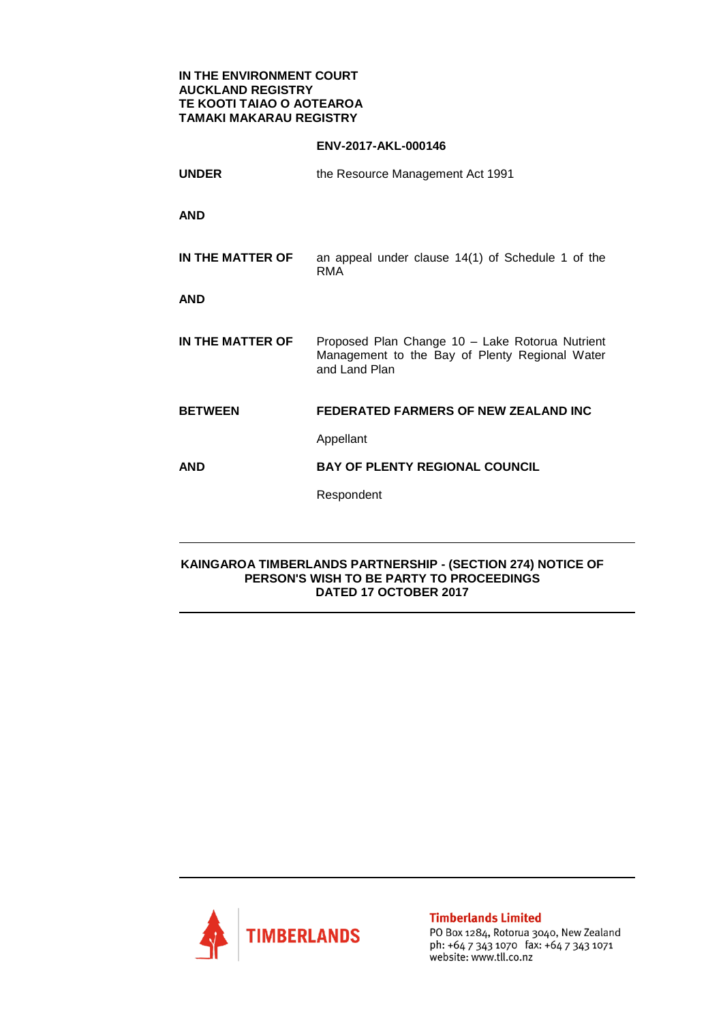## **IN THE ENVIRONMENT COURT AUCKLAND REGISTRY TE KOOTI TAIAO O AOTEAROA TAMAKI MAKARAU REGISTRY**

## **ENV-2017-AKL-000146**

**UNDER** the Resource Management Act 1991 **AND IN THE MATTER OF** an appeal under clause 14(1) of Schedule 1 of the RMA **AND IN THE MATTER OF** Proposed Plan Change 10 – Lake Rotorua Nutrient Management to the Bay of Plenty Regional Water and Land Plan **BETWEEN FEDERATED FARMERS OF NEW ZEALAND INC** Appellant **AND BAY OF PLENTY REGIONAL COUNCIL** Respondent

## **KAINGAROA TIMBERLANDS PARTNERSHIP - (SECTION 274) NOTICE OF PERSON'S WISH TO BE PARTY TO PROCEEDINGS DATED 17 OCTOBER 2017**



**Timberlands Limited** 

PO Box 1284, Rotorua 3040, New Zealand ph: +64 7 343 1070 fax: +64 7 343 1071 website: www.tll.co.nz